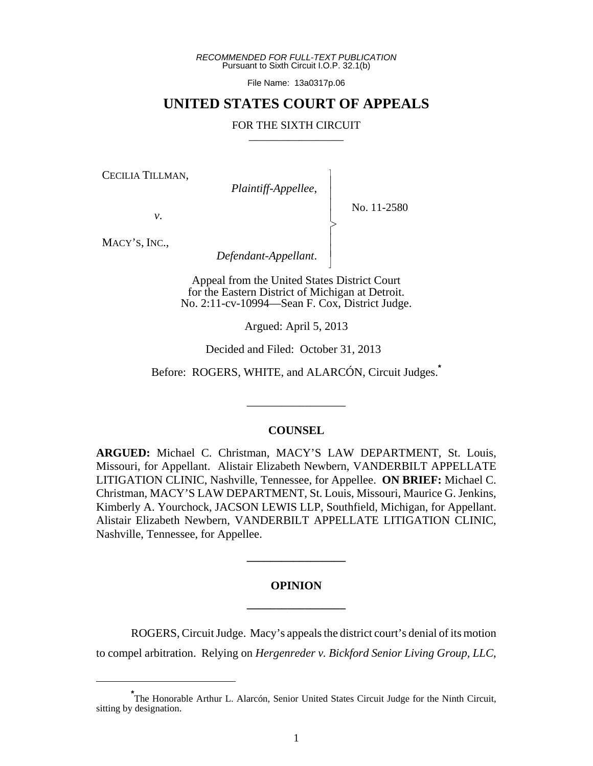*RECOMMENDED FOR FULL-TEXT PUBLICATION* Pursuant to Sixth Circuit I.O.P. 32.1(b)

File Name: 13a0317p.06

## **UNITED STATES COURT OF APPEALS**

## FOR THE SIXTH CIRCUIT

 $\overline{\phantom{a}}$ - - - > , - - N

CECILIA TILLMAN,

*Plaintiff-Appellee*,

No. 11-2580

*v*.

MACY'S, INC.,

*Defendant-Appellant*.

Appeal from the United States District Court for the Eastern District of Michigan at Detroit. No. 2:11-cv-10994—Sean F. Cox, District Judge.

Argued: April 5, 2013

Decided and Filed: October 31, 2013

Before: ROGERS, WHITE, and ALARCÓN, Circuit Judges.**\***

\_\_\_\_\_\_\_\_\_\_\_\_\_\_\_\_\_

## **COUNSEL**

**ARGUED:** Michael C. Christman, MACY'S LAW DEPARTMENT, St. Louis, Missouri, for Appellant. Alistair Elizabeth Newbern, VANDERBILT APPELLATE LITIGATION CLINIC, Nashville, Tennessee, for Appellee. **ON BRIEF:** Michael C. Christman, MACY'S LAW DEPARTMENT, St. Louis, Missouri, Maurice G. Jenkins, Kimberly A. Yourchock, JACSON LEWIS LLP, Southfield, Michigan, for Appellant. Alistair Elizabeth Newbern, VANDERBILT APPELLATE LITIGATION CLINIC, Nashville, Tennessee, for Appellee.

## **OPINION \_\_\_\_\_\_\_\_\_\_\_\_\_\_\_\_\_**

**\_\_\_\_\_\_\_\_\_\_\_\_\_\_\_\_\_**

ROGERS, Circuit Judge. Macy's appeals the district court's denial of its motion to compel arbitration. Relying on *Hergenreder v. Bickford Senior Living Group, LLC*,

**<sup>\*</sup>** The Honorable Arthur L. Alarcón, Senior United States Circuit Judge for the Ninth Circuit, sitting by designation.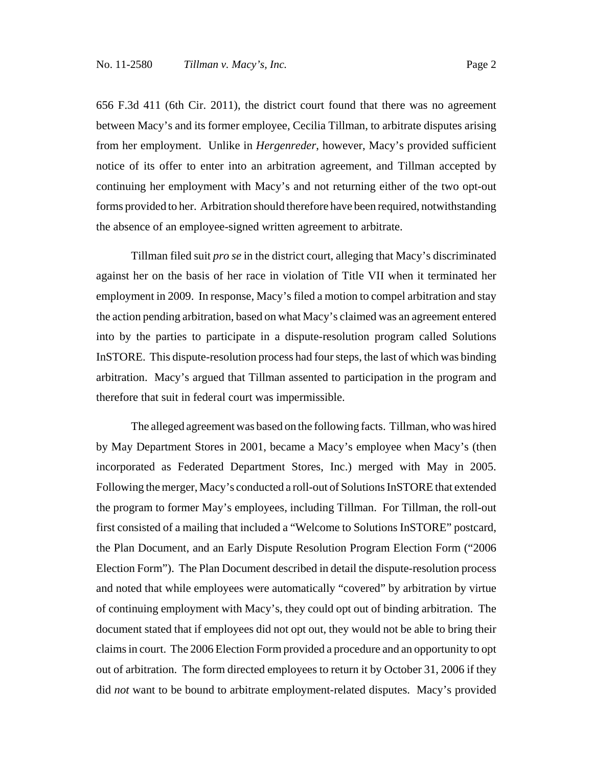656 F.3d 411 (6th Cir. 2011), the district court found that there was no agreement between Macy's and its former employee, Cecilia Tillman, to arbitrate disputes arising from her employment. Unlike in *Hergenreder*, however, Macy's provided sufficient notice of its offer to enter into an arbitration agreement, and Tillman accepted by continuing her employment with Macy's and not returning either of the two opt-out forms provided to her. Arbitration should therefore have been required, notwithstanding the absence of an employee-signed written agreement to arbitrate.

Tillman filed suit *pro se* in the district court, alleging that Macy's discriminated against her on the basis of her race in violation of Title VII when it terminated her employment in 2009. In response, Macy's filed a motion to compel arbitration and stay the action pending arbitration, based on what Macy's claimed was an agreement entered into by the parties to participate in a dispute-resolution program called Solutions InSTORE. This dispute-resolution process had four steps, the last of which was binding arbitration. Macy's argued that Tillman assented to participation in the program and therefore that suit in federal court was impermissible.

The alleged agreement was based on the following facts. Tillman, who was hired by May Department Stores in 2001, became a Macy's employee when Macy's (then incorporated as Federated Department Stores, Inc.) merged with May in 2005. Following the merger, Macy's conducted a roll-out of Solutions InSTORE that extended the program to former May's employees, including Tillman. For Tillman, the roll-out first consisted of a mailing that included a "Welcome to Solutions InSTORE" postcard, the Plan Document, and an Early Dispute Resolution Program Election Form ("2006 Election Form"). The Plan Document described in detail the dispute-resolution process and noted that while employees were automatically "covered" by arbitration by virtue of continuing employment with Macy's, they could opt out of binding arbitration. The document stated that if employees did not opt out, they would not be able to bring their claims in court. The 2006 Election Form provided a procedure and an opportunity to opt out of arbitration. The form directed employees to return it by October 31, 2006 if they did *not* want to be bound to arbitrate employment-related disputes. Macy's provided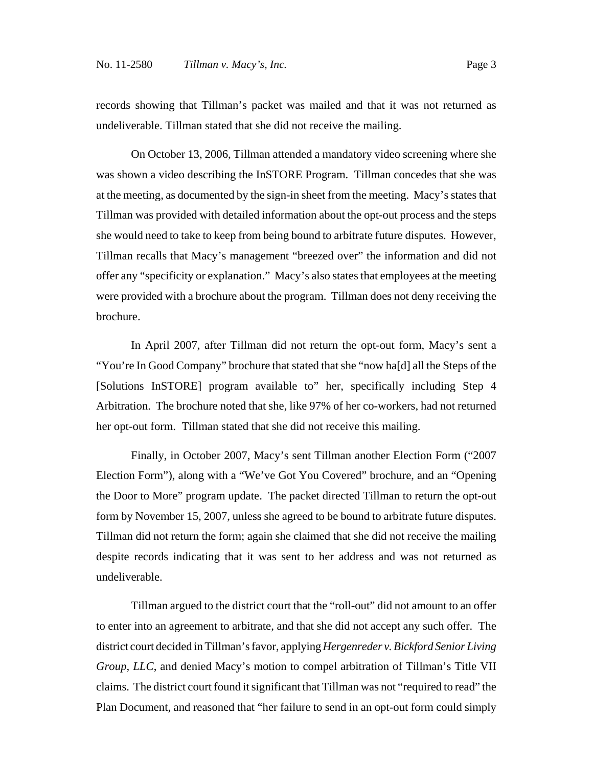records showing that Tillman's packet was mailed and that it was not returned as undeliverable. Tillman stated that she did not receive the mailing.

On October 13, 2006, Tillman attended a mandatory video screening where she was shown a video describing the InSTORE Program. Tillman concedes that she was at the meeting, as documented by the sign-in sheet from the meeting. Macy's states that Tillman was provided with detailed information about the opt-out process and the steps she would need to take to keep from being bound to arbitrate future disputes. However, Tillman recalls that Macy's management "breezed over" the information and did not offer any "specificity or explanation." Macy's also states that employees at the meeting were provided with a brochure about the program. Tillman does not deny receiving the brochure.

In April 2007, after Tillman did not return the opt-out form, Macy's sent a "You're In Good Company" brochure that stated that she "now ha[d] all the Steps of the [Solutions InSTORE] program available to" her, specifically including Step 4 Arbitration. The brochure noted that she, like 97% of her co-workers, had not returned her opt-out form. Tillman stated that she did not receive this mailing.

Finally, in October 2007, Macy's sent Tillman another Election Form ("2007 Election Form"), along with a "We've Got You Covered" brochure, and an "Opening the Door to More" program update. The packet directed Tillman to return the opt-out form by November 15, 2007, unless she agreed to be bound to arbitrate future disputes. Tillman did not return the form; again she claimed that she did not receive the mailing despite records indicating that it was sent to her address and was not returned as undeliverable.

Tillman argued to the district court that the "roll-out" did not amount to an offer to enter into an agreement to arbitrate, and that she did not accept any such offer. The district court decided in Tillman's favor, applying *Hergenreder v. Bickford Senior Living Group, LLC*, and denied Macy's motion to compel arbitration of Tillman's Title VII claims. The district court found it significant that Tillman was not "required to read" the Plan Document, and reasoned that "her failure to send in an opt-out form could simply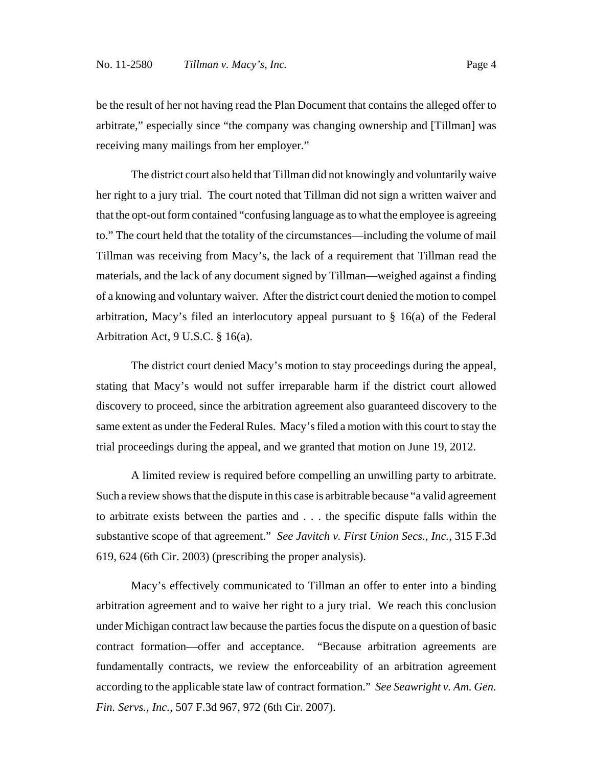be the result of her not having read the Plan Document that contains the alleged offer to arbitrate," especially since "the company was changing ownership and [Tillman] was receiving many mailings from her employer."

The district court also held that Tillman did not knowingly and voluntarily waive her right to a jury trial. The court noted that Tillman did not sign a written waiver and that the opt-out form contained "confusing language as to what the employee is agreeing to." The court held that the totality of the circumstances—including the volume of mail Tillman was receiving from Macy's, the lack of a requirement that Tillman read the materials, and the lack of any document signed by Tillman—weighed against a finding of a knowing and voluntary waiver. After the district court denied the motion to compel arbitration, Macy's filed an interlocutory appeal pursuant to § 16(a) of the Federal Arbitration Act, 9 U.S.C. § 16(a).

The district court denied Macy's motion to stay proceedings during the appeal, stating that Macy's would not suffer irreparable harm if the district court allowed discovery to proceed, since the arbitration agreement also guaranteed discovery to the same extent as under the Federal Rules. Macy's filed a motion with this court to stay the trial proceedings during the appeal, and we granted that motion on June 19, 2012.

A limited review is required before compelling an unwilling party to arbitrate. Such a review shows that the dispute in this case is arbitrable because "a valid agreement to arbitrate exists between the parties and . . . the specific dispute falls within the substantive scope of that agreement." *See Javitch v. First Union Secs., Inc.*, 315 F.3d 619, 624 (6th Cir. 2003) (prescribing the proper analysis).

Macy's effectively communicated to Tillman an offer to enter into a binding arbitration agreement and to waive her right to a jury trial. We reach this conclusion under Michigan contract law because the parties focus the dispute on a question of basic contract formation—offer and acceptance. "Because arbitration agreements are fundamentally contracts, we review the enforceability of an arbitration agreement according to the applicable state law of contract formation." *See Seawright v. Am. Gen. Fin. Servs., Inc.*, 507 F.3d 967, 972 (6th Cir. 2007).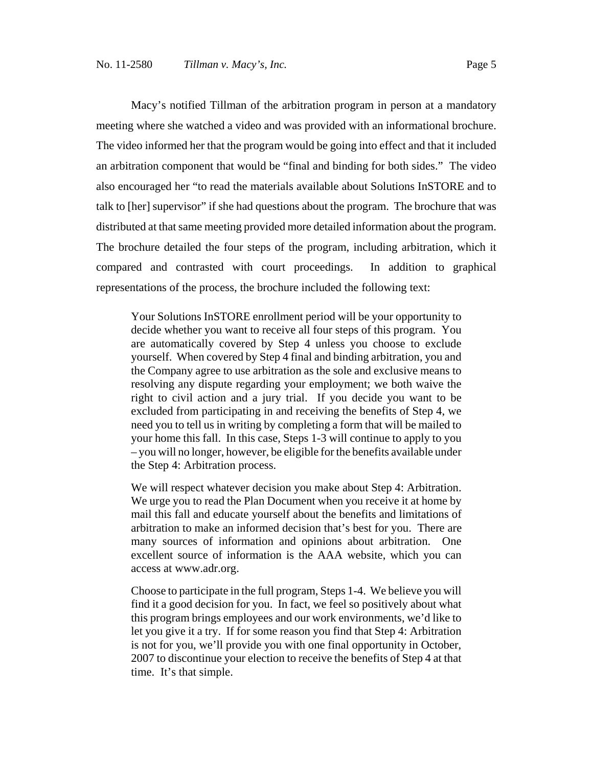Macy's notified Tillman of the arbitration program in person at a mandatory meeting where she watched a video and was provided with an informational brochure. The video informed her that the program would be going into effect and that it included an arbitration component that would be "final and binding for both sides." The video also encouraged her "to read the materials available about Solutions InSTORE and to talk to [her] supervisor" if she had questions about the program. The brochure that was distributed at that same meeting provided more detailed information about the program. The brochure detailed the four steps of the program, including arbitration, which it compared and contrasted with court proceedings. In addition to graphical representations of the process, the brochure included the following text:

Your Solutions InSTORE enrollment period will be your opportunity to decide whether you want to receive all four steps of this program. You are automatically covered by Step 4 unless you choose to exclude yourself. When covered by Step 4 final and binding arbitration, you and the Company agree to use arbitration as the sole and exclusive means to resolving any dispute regarding your employment; we both waive the right to civil action and a jury trial. If you decide you want to be excluded from participating in and receiving the benefits of Step 4, we need you to tell us in writing by completing a form that will be mailed to your home this fall. In this case, Steps 1-3 will continue to apply to you – you will no longer, however, be eligible for the benefits available under the Step 4: Arbitration process.

We will respect whatever decision you make about Step 4: Arbitration. We urge you to read the Plan Document when you receive it at home by mail this fall and educate yourself about the benefits and limitations of arbitration to make an informed decision that's best for you. There are many sources of information and opinions about arbitration. One excellent source of information is the AAA website, which you can access at www.adr.org.

Choose to participate in the full program, Steps 1-4. We believe you will find it a good decision for you. In fact, we feel so positively about what this program brings employees and our work environments, we'd like to let you give it a try. If for some reason you find that Step 4: Arbitration is not for you, we'll provide you with one final opportunity in October, 2007 to discontinue your election to receive the benefits of Step 4 at that time. It's that simple.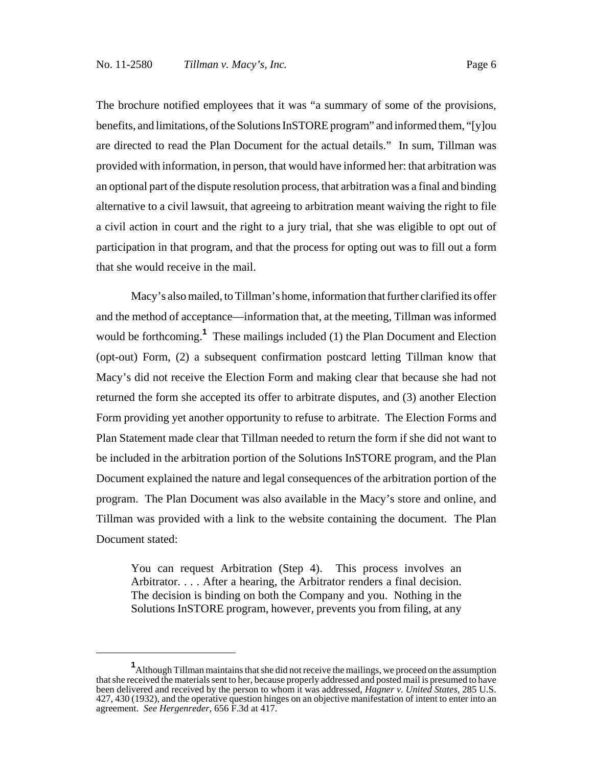The brochure notified employees that it was "a summary of some of the provisions, benefits, and limitations, of the Solutions InSTORE program" and informed them, "[y]ou are directed to read the Plan Document for the actual details." In sum, Tillman was provided with information, in person, that would have informed her: that arbitration was an optional part of the dispute resolution process, that arbitration was a final and binding alternative to a civil lawsuit, that agreeing to arbitration meant waiving the right to file a civil action in court and the right to a jury trial, that she was eligible to opt out of participation in that program, and that the process for opting out was to fill out a form that she would receive in the mail.

Macy's also mailed, to Tillman's home, information that further clarified its offer and the method of acceptance—information that, at the meeting, Tillman was informed would be forthcoming.**<sup>1</sup>** These mailings included (1) the Plan Document and Election (opt-out) Form, (2) a subsequent confirmation postcard letting Tillman know that Macy's did not receive the Election Form and making clear that because she had not returned the form she accepted its offer to arbitrate disputes, and (3) another Election Form providing yet another opportunity to refuse to arbitrate. The Election Forms and Plan Statement made clear that Tillman needed to return the form if she did not want to be included in the arbitration portion of the Solutions InSTORE program, and the Plan Document explained the nature and legal consequences of the arbitration portion of the program. The Plan Document was also available in the Macy's store and online, and Tillman was provided with a link to the website containing the document. The Plan Document stated:

You can request Arbitration (Step 4). This process involves an Arbitrator. . . . After a hearing, the Arbitrator renders a final decision. The decision is binding on both the Company and you. Nothing in the Solutions InSTORE program, however, prevents you from filing, at any

**<sup>1</sup>** Although Tillman maintains that she did not receive the mailings, we proceed on the assumption that she received the materials sent to her, because properly addressed and posted mail is presumed to have been delivered and received by the person to whom it was addressed, *Hagner v. United States*, 285 U.S. 427, 430 (1932), and the operative question hinges on an objective manifestation of intent to enter into an agreement. *See Hergenreder*, 656 F.3d at 417.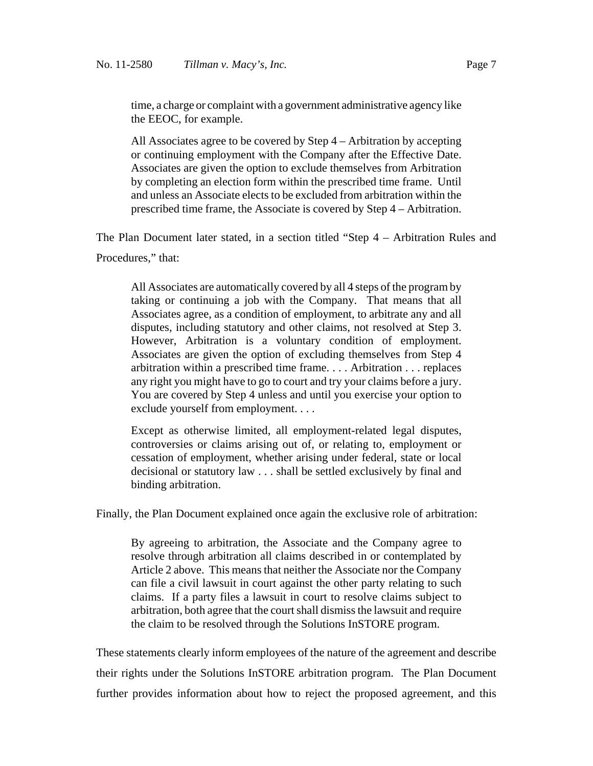time, a charge or complaint with a government administrative agency like the EEOC, for example.

All Associates agree to be covered by Step 4 – Arbitration by accepting or continuing employment with the Company after the Effective Date. Associates are given the option to exclude themselves from Arbitration by completing an election form within the prescribed time frame. Until and unless an Associate elects to be excluded from arbitration within the prescribed time frame, the Associate is covered by Step 4 – Arbitration.

The Plan Document later stated, in a section titled "Step 4 – Arbitration Rules and

Procedures," that:

All Associates are automatically covered by all 4 steps of the program by taking or continuing a job with the Company. That means that all Associates agree, as a condition of employment, to arbitrate any and all disputes, including statutory and other claims, not resolved at Step 3. However, Arbitration is a voluntary condition of employment. Associates are given the option of excluding themselves from Step 4 arbitration within a prescribed time frame. . . . Arbitration . . . replaces any right you might have to go to court and try your claims before a jury. You are covered by Step 4 unless and until you exercise your option to exclude yourself from employment. . . .

Except as otherwise limited, all employment-related legal disputes, controversies or claims arising out of, or relating to, employment or cessation of employment, whether arising under federal, state or local decisional or statutory law . . . shall be settled exclusively by final and binding arbitration.

Finally, the Plan Document explained once again the exclusive role of arbitration:

By agreeing to arbitration, the Associate and the Company agree to resolve through arbitration all claims described in or contemplated by Article 2 above. This means that neither the Associate nor the Company can file a civil lawsuit in court against the other party relating to such claims. If a party files a lawsuit in court to resolve claims subject to arbitration, both agree that the court shall dismiss the lawsuit and require the claim to be resolved through the Solutions InSTORE program.

These statements clearly inform employees of the nature of the agreement and describe their rights under the Solutions InSTORE arbitration program. The Plan Document further provides information about how to reject the proposed agreement, and this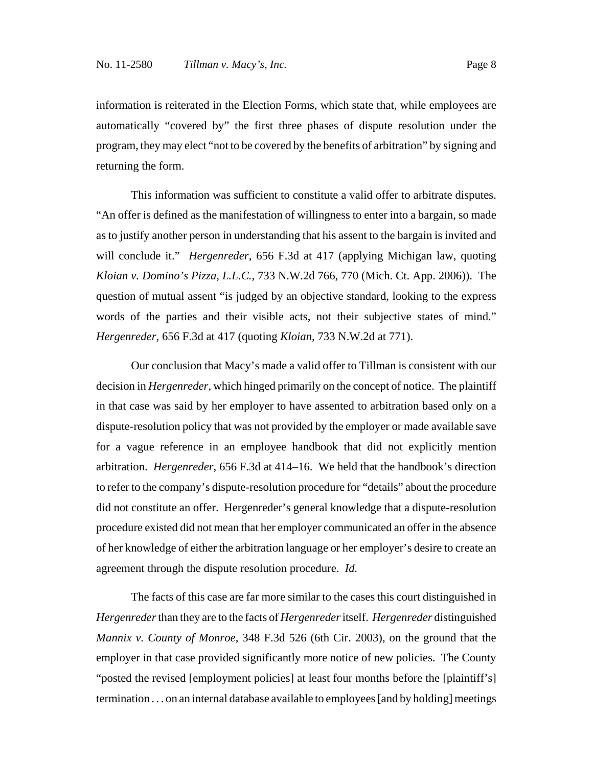information is reiterated in the Election Forms, which state that, while employees are automatically "covered by" the first three phases of dispute resolution under the program, they may elect "not to be covered by the benefits of arbitration" by signing and returning the form.

This information was sufficient to constitute a valid offer to arbitrate disputes. "An offer is defined as the manifestation of willingness to enter into a bargain, so made as to justify another person in understanding that his assent to the bargain is invited and will conclude it." *Hergenreder*, 656 F.3d at 417 (applying Michigan law, quoting *Kloian v. Domino's Pizza, L.L.C.*, 733 N.W.2d 766, 770 (Mich. Ct. App. 2006)). The question of mutual assent "is judged by an objective standard, looking to the express words of the parties and their visible acts, not their subjective states of mind." *Hergenreder*, 656 F.3d at 417 (quoting *Kloian*, 733 N.W.2d at 771).

Our conclusion that Macy's made a valid offer to Tillman is consistent with our decision in *Hergenreder*, which hinged primarily on the concept of notice. The plaintiff in that case was said by her employer to have assented to arbitration based only on a dispute-resolution policy that was not provided by the employer or made available save for a vague reference in an employee handbook that did not explicitly mention arbitration. *Hergenreder*, 656 F.3d at 414–16. We held that the handbook's direction to refer to the company's dispute-resolution procedure for "details" about the procedure did not constitute an offer. Hergenreder's general knowledge that a dispute-resolution procedure existed did not mean that her employer communicated an offer in the absence of her knowledge of either the arbitration language or her employer's desire to create an agreement through the dispute resolution procedure. *Id.*

The facts of this case are far more similar to the cases this court distinguished in *Hergenreder* than they are to the facts of *Hergenreder* itself. *Hergenreder* distinguished *Mannix v. County of Monroe*, 348 F.3d 526 (6th Cir. 2003), on the ground that the employer in that case provided significantly more notice of new policies. The County "posted the revised [employment policies] at least four months before the [plaintiff's] termination . . . on an internal database available to employees [and by holding] meetings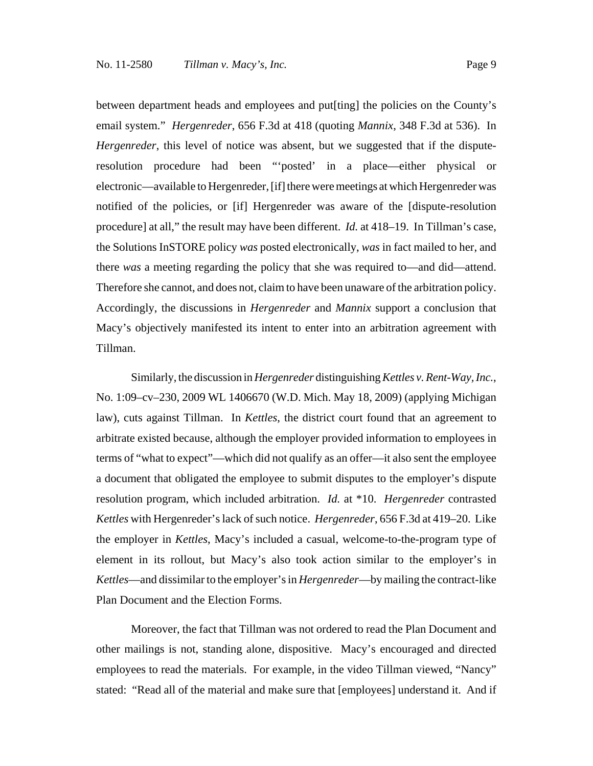between department heads and employees and put[ting] the policies on the County's email system." *Hergenreder*, 656 F.3d at 418 (quoting *Mannix*, 348 F.3d at 536). In *Hergenreder*, this level of notice was absent, but we suggested that if the disputeresolution procedure had been "'posted' in a place—either physical or electronic—available to Hergenreder, [if] there were meetings at which Hergenreder was notified of the policies, or [if] Hergenreder was aware of the [dispute-resolution procedure] at all," the result may have been different. *Id.* at 418–19. In Tillman's case, the Solutions InSTORE policy *was* posted electronically, *was* in fact mailed to her, and there *was* a meeting regarding the policy that she was required to—and did—attend. Therefore she cannot, and does not, claim to have been unaware of the arbitration policy. Accordingly, the discussions in *Hergenreder* and *Mannix* support a conclusion that Macy's objectively manifested its intent to enter into an arbitration agreement with Tillman.

Similarly, the discussion in *Hergenreder* distinguishing *Kettles v. Rent-Way, Inc.*, No. 1:09–cv–230, 2009 WL 1406670 (W.D. Mich. May 18, 2009) (applying Michigan law), cuts against Tillman. In *Kettles*, the district court found that an agreement to arbitrate existed because, although the employer provided information to employees in terms of "what to expect"—which did not qualify as an offer—it also sent the employee a document that obligated the employee to submit disputes to the employer's dispute resolution program, which included arbitration. *Id.* at \*10. *Hergenreder* contrasted *Kettles* with Hergenreder's lack of such notice. *Hergenreder*, 656 F.3d at 419–20. Like the employer in *Kettles*, Macy's included a casual, welcome-to-the-program type of element in its rollout, but Macy's also took action similar to the employer's in *Kettles*—and dissimilar to the employer's in *Hergenreder*—by mailing the contract-like Plan Document and the Election Forms.

Moreover, the fact that Tillman was not ordered to read the Plan Document and other mailings is not, standing alone, dispositive. Macy's encouraged and directed employees to read the materials. For example, in the video Tillman viewed, "Nancy" stated: "Read all of the material and make sure that [employees] understand it. And if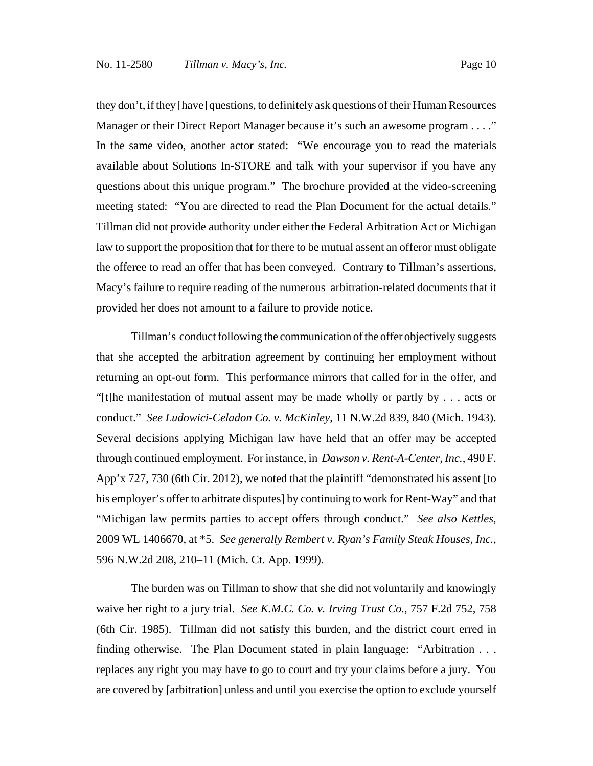they don't, if they [have] questions, to definitely ask questions of their Human Resources Manager or their Direct Report Manager because it's such an awesome program . . . ." In the same video, another actor stated: "We encourage you to read the materials available about Solutions In-STORE and talk with your supervisor if you have any questions about this unique program." The brochure provided at the video-screening meeting stated: "You are directed to read the Plan Document for the actual details." Tillman did not provide authority under either the Federal Arbitration Act or Michigan law to support the proposition that for there to be mutual assent an offeror must obligate the offeree to read an offer that has been conveyed. Contrary to Tillman's assertions, Macy's failure to require reading of the numerous arbitration-related documents that it provided her does not amount to a failure to provide notice.

Tillman's conduct following the communication of the offer objectively suggests that she accepted the arbitration agreement by continuing her employment without returning an opt-out form. This performance mirrors that called for in the offer, and "[t]he manifestation of mutual assent may be made wholly or partly by . . . acts or conduct." *See Ludowici-Celadon Co. v. McKinley*, 11 N.W.2d 839, 840 (Mich. 1943). Several decisions applying Michigan law have held that an offer may be accepted through continued employment. For instance, in *Dawson v. Rent-A-Center, Inc.*, 490 F. App'x 727, 730 (6th Cir. 2012), we noted that the plaintiff "demonstrated his assent [to his employer's offer to arbitrate disputes] by continuing to work for Rent-Way" and that "Michigan law permits parties to accept offers through conduct." *See also Kettles*, 2009 WL 1406670, at \*5. *See generally Rembert v. Ryan's Family Steak Houses, Inc.*, 596 N.W.2d 208, 210–11 (Mich. Ct. App. 1999).

The burden was on Tillman to show that she did not voluntarily and knowingly waive her right to a jury trial. *See K.M.C. Co. v. Irving Trust Co.*, 757 F.2d 752, 758 (6th Cir. 1985). Tillman did not satisfy this burden, and the district court erred in finding otherwise. The Plan Document stated in plain language: "Arbitration . . . replaces any right you may have to go to court and try your claims before a jury. You are covered by [arbitration] unless and until you exercise the option to exclude yourself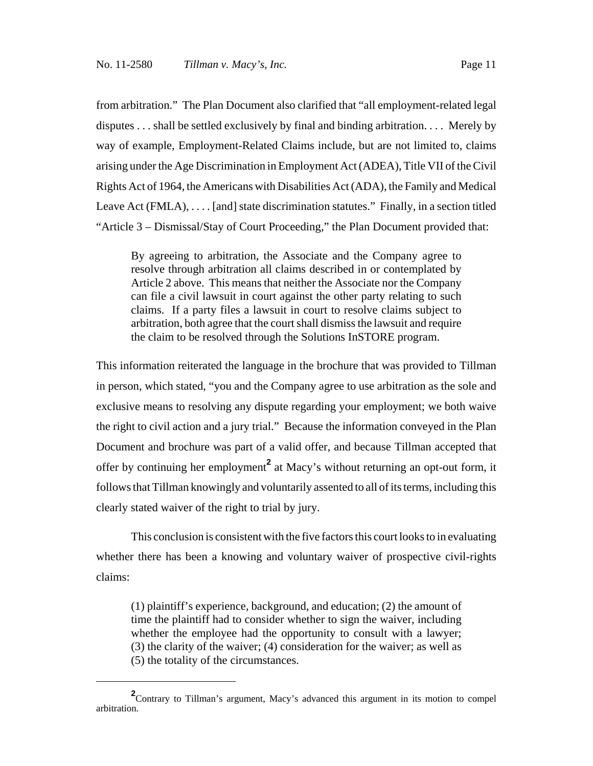from arbitration." The Plan Document also clarified that "all employment-related legal disputes . . . shall be settled exclusively by final and binding arbitration. . . . Merely by way of example, Employment-Related Claims include, but are not limited to, claims arising under the Age Discrimination in Employment Act (ADEA), Title VII of the Civil Rights Act of 1964, the Americans with Disabilities Act (ADA), the Family and Medical Leave Act (FMLA), .... [and] state discrimination statutes." Finally, in a section titled "Article 3 – Dismissal/Stay of Court Proceeding," the Plan Document provided that:

By agreeing to arbitration, the Associate and the Company agree to resolve through arbitration all claims described in or contemplated by Article 2 above. This means that neither the Associate nor the Company can file a civil lawsuit in court against the other party relating to such claims. If a party files a lawsuit in court to resolve claims subject to arbitration, both agree that the court shall dismiss the lawsuit and require the claim to be resolved through the Solutions InSTORE program.

This information reiterated the language in the brochure that was provided to Tillman in person, which stated, "you and the Company agree to use arbitration as the sole and exclusive means to resolving any dispute regarding your employment; we both waive the right to civil action and a jury trial." Because the information conveyed in the Plan Document and brochure was part of a valid offer, and because Tillman accepted that offer by continuing her employment<sup>2</sup> at Macy's without returning an opt-out form, it follows that Tillman knowingly and voluntarily assented to all of its terms, including this clearly stated waiver of the right to trial by jury.

This conclusion is consistent with the five factors this court looks to in evaluating whether there has been a knowing and voluntary waiver of prospective civil-rights claims:

(1) plaintiff's experience, background, and education; (2) the amount of time the plaintiff had to consider whether to sign the waiver, including whether the employee had the opportunity to consult with a lawyer; (3) the clarity of the waiver; (4) consideration for the waiver; as well as (5) the totality of the circumstances.

<sup>&</sup>lt;sup>2</sup> Contrary to Tillman's argument, Macy's advanced this argument in its motion to compel arbitration.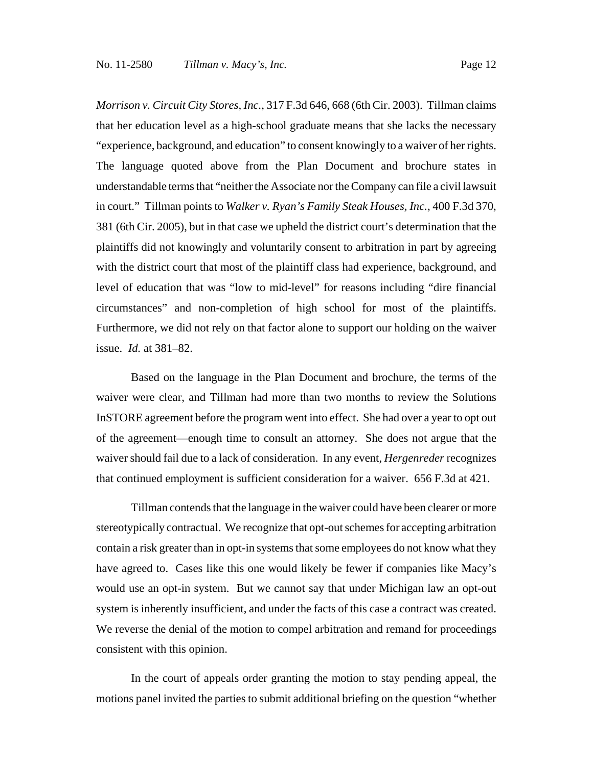*Morrison v. Circuit City Stores, Inc.*, 317 F.3d 646, 668 (6th Cir. 2003). Tillman claims that her education level as a high-school graduate means that she lacks the necessary "experience, background, and education" to consent knowingly to a waiver of her rights. The language quoted above from the Plan Document and brochure states in understandable terms that "neither the Associate nor the Company can file a civil lawsuit in court." Tillman points to *Walker v. Ryan's Family Steak Houses, Inc.*, 400 F.3d 370, 381 (6th Cir. 2005), but in that case we upheld the district court's determination that the plaintiffs did not knowingly and voluntarily consent to arbitration in part by agreeing with the district court that most of the plaintiff class had experience, background, and level of education that was "low to mid-level" for reasons including "dire financial circumstances" and non-completion of high school for most of the plaintiffs. Furthermore, we did not rely on that factor alone to support our holding on the waiver issue. *Id.* at 381–82.

Based on the language in the Plan Document and brochure, the terms of the waiver were clear, and Tillman had more than two months to review the Solutions InSTORE agreement before the program went into effect. She had over a year to opt out of the agreement—enough time to consult an attorney. She does not argue that the waiver should fail due to a lack of consideration. In any event, *Hergenreder* recognizes that continued employment is sufficient consideration for a waiver. 656 F.3d at 421.

Tillman contends that the language in the waiver could have been clearer or more stereotypically contractual. We recognize that opt-out schemes for accepting arbitration contain a risk greater than in opt-in systems that some employees do not know what they have agreed to. Cases like this one would likely be fewer if companies like Macy's would use an opt-in system. But we cannot say that under Michigan law an opt-out system is inherently insufficient, and under the facts of this case a contract was created. We reverse the denial of the motion to compel arbitration and remand for proceedings consistent with this opinion.

In the court of appeals order granting the motion to stay pending appeal, the motions panel invited the parties to submit additional briefing on the question "whether